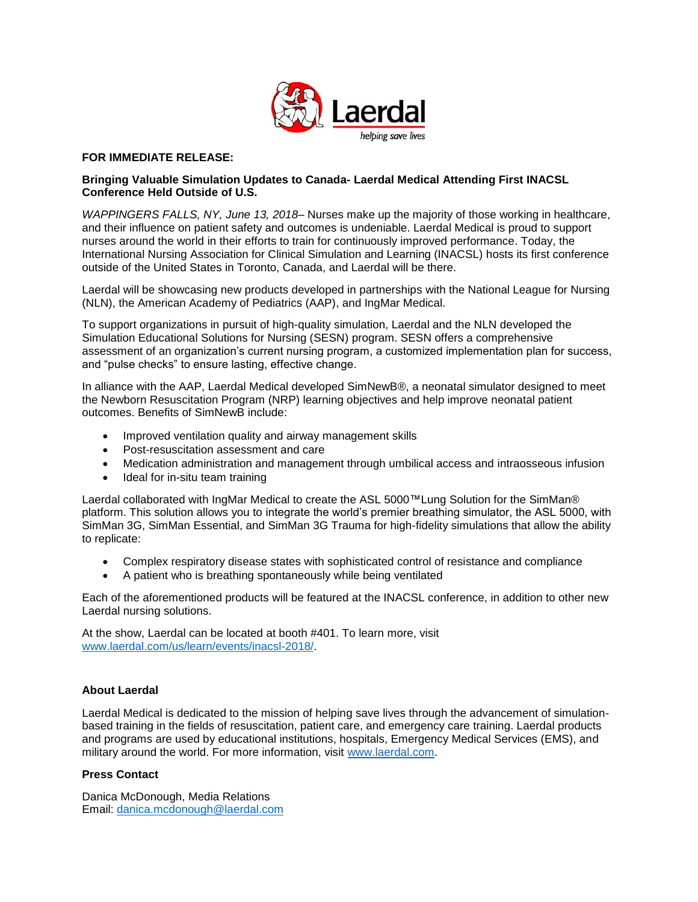

## **FOR IMMEDIATE RELEASE:**

## **Bringing Valuable Simulation Updates to Canada- Laerdal Medical Attending First INACSL Conference Held Outside of U.S.**

*WAPPINGERS FALLS, NY, June 13, 2018*– Nurses make up the majority of those working in healthcare, and their influence on patient safety and outcomes is undeniable. Laerdal Medical is proud to support nurses around the world in their efforts to train for continuously improved performance. Today, the International Nursing Association for Clinical Simulation and Learning (INACSL) hosts its first conference outside of the United States in Toronto, Canada, and Laerdal will be there.

Laerdal will be showcasing new products developed in partnerships with the National League for Nursing (NLN), the American Academy of Pediatrics (AAP), and IngMar Medical.

To support organizations in pursuit of high-quality simulation, Laerdal and the NLN developed the Simulation Educational Solutions for Nursing (SESN) program. SESN offers a comprehensive assessment of an organization's current nursing program, a customized implementation plan for success, and "pulse checks" to ensure lasting, effective change.

In alliance with the AAP, Laerdal Medical developed SimNewB®, a neonatal simulator designed to meet the Newborn Resuscitation Program (NRP) learning objectives and help improve neonatal patient outcomes. Benefits of SimNewB include:

- Improved ventilation quality and airway management skills
- Post-resuscitation assessment and care
- Medication administration and management through umbilical access and intraosseous infusion
- Ideal for in-situ team training

Laerdal collaborated with IngMar Medical to create the ASL 5000™Lung Solution for the SimMan® platform. This solution allows you to integrate the world's premier breathing simulator, the ASL 5000, with SimMan 3G, SimMan Essential, and SimMan 3G Trauma for high-fidelity simulations that allow the ability to replicate:

- Complex respiratory disease states with sophisticated control of resistance and compliance
- A patient who is breathing spontaneously while being ventilated

Each of the aforementioned products will be featured at the INACSL conference, in addition to other new Laerdal nursing solutions.

At the show, Laerdal can be located at booth #401. To learn more, visit [www.laerdal.com/us/learn/events/inacsl-2018/.](http://www.laerdal.com/us/learn/events/inacsl-2018/#utm_source=PR%20Newswire&utm_medium=Press%20Release&utm_campaign=18-16678%20-%20INACSL%20Press%20Release%20PDF&utm_content=INACSL)

## **About Laerdal**

Laerdal Medical is dedicated to the mission of helping save lives through the advancement of simulationbased training in the fields of resuscitation, patient care, and emergency care training. Laerdal products and programs are used by educational institutions, hospitals, Emergency Medical Services (EMS), and military around the world. For more information, visit [www.laerdal.com.](http://www.laerdal.com/#utm_source=PR%20Newswire&utm_medium=Press%20Release&utm_campaign=18-16678%20-%20INACSL%20Press%20Release%20PDF&utm_content=Laerdal%20Homepage)

## **Press Contact**

Danica McDonough, Media Relations Email: [danica.mcdonough@laerdal.com](mailto:danica.mcdonough@laerdal.com)